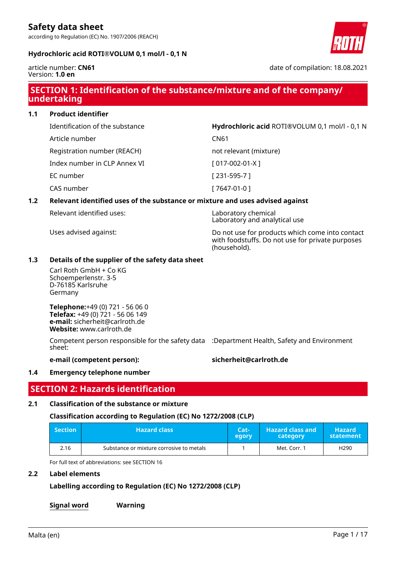according to Regulation (EC) No. 1907/2006 (REACH)

## **Hydrochloric acid ROTI®VOLUM 0,1 mol/l - 0,1 N**



article number: **CN61** Version: **1.0 en**

date of compilation: 18.08.2021

## **SECTION 1: Identification of the substance/mixture and of the company/ undertaking**

**1.1 Product identifier**

Identification of the substance **Hydrochloric acid** ROTI®VOLUM 0,1 mol/l - 0,1 N

Article number CN61

Registration number (REACH) not relevant (mixture)

Index number in CLP Annex VI [ 017-002-01-X ]

EC number [ 231-595-7 ]

CAS number [ 7647-01-0 ]

## **1.2 Relevant identified uses of the substance or mixture and uses advised against**

Relevant identified uses: Laboratory chemical

Uses advised against: Do not use for products which come into contact with foodstuffs. Do not use for private purposes (household).

Laboratory and analytical use

## **1.3 Details of the supplier of the safety data sheet**

Carl Roth GmbH + Co KG Schoemperlenstr. 3-5 D-76185 Karlsruhe Germany

**Telephone:**+49 (0) 721 - 56 06 0 **Telefax:** +49 (0) 721 - 56 06 149 **e-mail:** sicherheit@carlroth.de **Website:** www.carlroth.de

Competent person responsible for the safety data :Department Health, Safety and Environment sheet:

**e-mail (competent person): sicherheit@carlroth.de**

## **1.4 Emergency telephone number**

## **SECTION 2: Hazards identification**

## **2.1 Classification of the substance or mixture**

## **Classification according to Regulation (EC) No 1272/2008 (CLP)**

| <b>Section</b> | <b>Hazard class</b>                      | Cat <sub>1</sub><br>egory | <b>Hazard class and</b><br>category | <b>Hazard</b><br>statement |
|----------------|------------------------------------------|---------------------------|-------------------------------------|----------------------------|
| 2.16           | Substance or mixture corrosive to metals |                           | Met. Corr. 1                        | H290                       |

For full text of abbreviations: see SECTION 16

## **2.2 Label elements**

**Labelling according to Regulation (EC) No 1272/2008 (CLP)**

**Signal word Warning**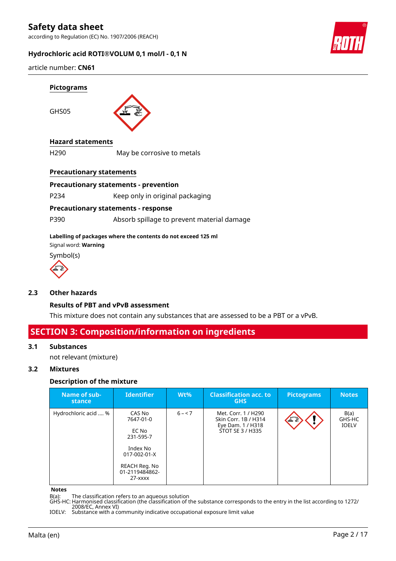according to Regulation (EC) No. 1907/2006 (REACH)

## **Hydrochloric acid ROTI®VOLUM 0,1 mol/l - 0,1 N**



article number: **CN61**



## **Hazard statements**

H290 May be corrosive to metals

## **Precautionary statements**

### **Precautionary statements - prevention**

P234 Keep only in original packaging

## **Precautionary statements - response**

P390 Absorb spillage to prevent material damage

#### **Labelling of packages where the contents do not exceed 125 ml**

Signal word: **Warning**

Symbol(s)



## **2.3 Other hazards**

## **Results of PBT and vPvB assessment**

This mixture does not contain any substances that are assessed to be a PBT or a vPvB.

## **SECTION 3: Composition/information on ingredients**

#### **3.1 Substances**

not relevant (mixture)

## **3.2 Mixtures**

## **Description of the mixture**

| Name of sub-<br>stance | <b>Identifier</b>                                                                                                             | $Wt\%$   | <b>Classification acc. to</b><br><b>GHS</b>                                          | <b>Pictograms</b> | <b>Notes</b>                   |
|------------------------|-------------------------------------------------------------------------------------------------------------------------------|----------|--------------------------------------------------------------------------------------|-------------------|--------------------------------|
| Hydrochloric acid  %   | CAS No<br>7647-01-0<br>EC No<br>231-595-7<br>Index No<br>$017 - 002 - 01 - X$<br>REACH Reg. No<br>01-2119484862-<br>$27  xxx$ | $6 - 57$ | Met. Corr. 1 / H290<br>Skin Corr. 1B / H314<br>Eye Dam. 1 / H318<br>STOT SE 3 / H335 | 工業                | B(a)<br>GHS-HC<br><b>IOELV</b> |

#### **Notes**

B(a): The classification refers to an aqueous solution

GHS-HC: Harmonised classification (the classification of the substance corresponds to the entry in the list according to 1272/ 2008/EC, Annex VI)

IOELV: Substance with a community indicative occupational exposure limit value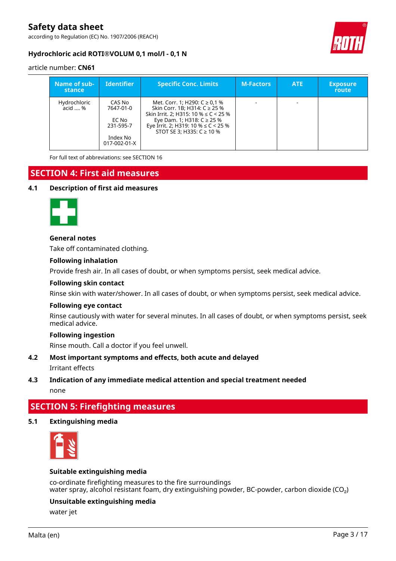according to Regulation (EC) No. 1907/2006 (REACH)



## **Hydrochloric acid ROTI®VOLUM 0,1 mol/l - 0,1 N**

## article number: **CN61**

| Name of sub-<br>stance  | <b>Identifier</b>                                                     | <b>Specific Conc. Limits</b>                                                                                                                                                                                               | <b>M-Factors</b> | <b>ATE</b> | <b>Exposure</b><br><b>route</b> |
|-------------------------|-----------------------------------------------------------------------|----------------------------------------------------------------------------------------------------------------------------------------------------------------------------------------------------------------------------|------------------|------------|---------------------------------|
| Hydrochloric<br>acid  % | CAS No<br>7647-01-0<br>EC No<br>231-595-7<br>Index No<br>017-002-01-X | Met. Corr. 1; H290: $C \ge 0.1$ %<br>Skin Corr. 1B; H314: C ≥ 25 %<br>Skin Irrit. 2: H315: 10 % $\leq$ C < 25 %<br>Eye Dam. 1; H318: C ≥ 25 %<br>Eye Irrit. 2; H319: 10 % $\leq$ C < 25 %<br>STOT SE 3: H335: $C \ge 10\%$ |                  |            |                                 |

For full text of abbreviations: see SECTION 16

# **SECTION 4: First aid measures**

## **4.1 Description of first aid measures**



## **General notes**

Take off contaminated clothing.

## **Following inhalation**

Provide fresh air. In all cases of doubt, or when symptoms persist, seek medical advice.

### **Following skin contact**

Rinse skin with water/shower. In all cases of doubt, or when symptoms persist, seek medical advice.

#### **Following eye contact**

Rinse cautiously with water for several minutes. In all cases of doubt, or when symptoms persist, seek medical advice.

## **Following ingestion**

Rinse mouth. Call a doctor if you feel unwell.

## **4.2 Most important symptoms and effects, both acute and delayed**

Irritant effects

## **4.3 Indication of any immediate medical attention and special treatment needed**

none

# **SECTION 5: Firefighting measures**

## **5.1 Extinguishing media**



## **Suitable extinguishing media**

co-ordinate firefighting measures to the fire surroundings water spray, alcohol resistant foam, dry extinguishing powder, BC-powder, carbon dioxide (CO<sub>2</sub>)

## **Unsuitable extinguishing media**

water jet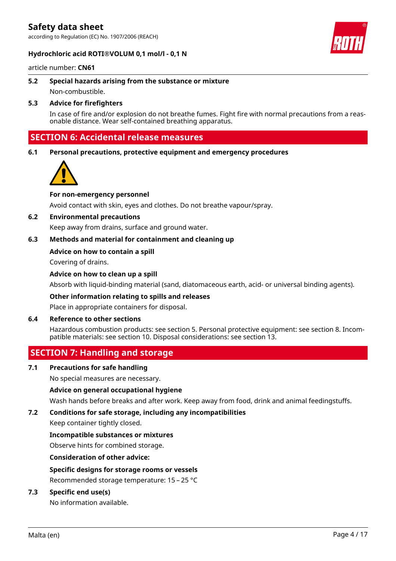according to Regulation (EC) No. 1907/2006 (REACH)

### **Hydrochloric acid ROTI®VOLUM 0,1 mol/l - 0,1 N**



article number: **CN61**

**5.2 Special hazards arising from the substance or mixture** Non-combustible.

## **5.3 Advice for firefighters**

In case of fire and/or explosion do not breathe fumes. Fight fire with normal precautions from a reasonable distance. Wear self-contained breathing apparatus.

## **SECTION 6: Accidental release measures**

**6.1 Personal precautions, protective equipment and emergency procedures**



## **For non-emergency personnel**

Avoid contact with skin, eyes and clothes. Do not breathe vapour/spray.

### **6.2 Environmental precautions**

Keep away from drains, surface and ground water.

## **6.3 Methods and material for containment and cleaning up**

#### **Advice on how to contain a spill**

Covering of drains.

#### **Advice on how to clean up a spill**

Absorb with liquid-binding material (sand, diatomaceous earth, acid- or universal binding agents).

#### **Other information relating to spills and releases**

Place in appropriate containers for disposal.

#### **6.4 Reference to other sections**

Hazardous combustion products: see section 5. Personal protective equipment: see section 8. Incompatible materials: see section 10. Disposal considerations: see section 13.

## **SECTION 7: Handling and storage**

## **7.1 Precautions for safe handling**

No special measures are necessary.

## **Advice on general occupational hygiene**

Wash hands before breaks and after work. Keep away from food, drink and animal feedingstuffs.

## **7.2 Conditions for safe storage, including any incompatibilities**

Keep container tightly closed.

#### **Incompatible substances or mixtures**

Observe hints for combined storage.

**Consideration of other advice:**

## **Specific designs for storage rooms or vessels**

Recommended storage temperature: 15 – 25 °C

## **7.3 Specific end use(s)**

No information available.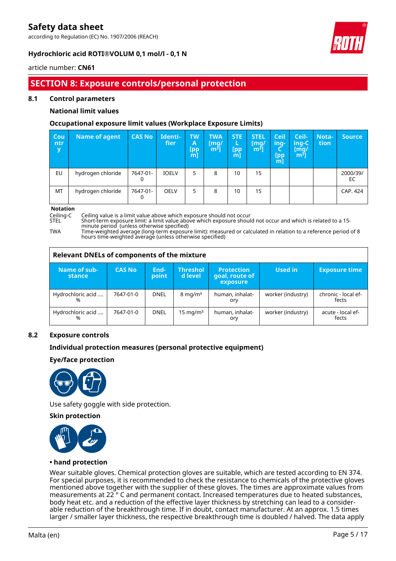according to Regulation (EC) No. 1907/2006 (REACH)



## **Hydrochloric acid ROTI®VOLUM 0,1 mol/l - 0,1 N**

## article number: **CN61**

## **SECTION 8: Exposure controls/personal protection**

## **8.1 Control parameters**

## **National limit values**

## **Occupational exposure limit values (Workplace Exposure Limits)**

| <b>Cou</b><br>ntr<br>y | <b>Name of agent</b> | <b>CAS No</b> | Identi-<br>fier | <b>TW</b><br>Α<br>[pp<br>ml | <b>TWA</b><br>[mq/<br>$m3$ ] | <b>STE</b><br>L<br>[pp<br>$m$ ] | <b>STEL</b><br>[mq/<br>m <sup>3</sup> | Ceil<br>ing-<br>[pp]<br>m | Ceil-<br>ing-C<br>[mg/<br>$\mathsf{m}^{\mathsf{s}}$ ] | Nota-<br>tion | <b>Source</b>  |
|------------------------|----------------------|---------------|-----------------|-----------------------------|------------------------------|---------------------------------|---------------------------------------|---------------------------|-------------------------------------------------------|---------------|----------------|
| EU                     | hydrogen chloride    | 7647-01-      | <b>IOELV</b>    | 5                           | 8                            | 10                              | 15                                    |                           |                                                       |               | 2000/39/<br>EC |
| MT                     | hydrogen chloride    | 7647-01-      | <b>OELV</b>     | 5                           | 8                            | 10                              | 15                                    |                           |                                                       |               | CAP. 424       |

**Notation**<br>Ceiling-C

Ceiling-C Ceiling value is a limit value above which exposure should not occur

Short-term exposure limit: a limit value above which exposure should not occur and which is related to a 15minute period (unless otherwise specified)

TWA Time-weighted average (long-term exposure limit): measured or calculated in relation to a reference period of 8 hours time-weighted average (unless otherwise specified)

|                               | Relevant DNELs of components of the mixture |               |                            |                                                 |                   |                              |  |
|-------------------------------|---------------------------------------------|---------------|----------------------------|-------------------------------------------------|-------------------|------------------------------|--|
| Name of sub-<br><b>stance</b> | <b>CAS No</b>                               | End-<br>point | <b>Threshol</b><br>d level | <b>Protection</b><br>goal, route of<br>exposure | Used in           | <b>Exposure time</b>         |  |
| Hydrochloric acid<br>%        | 7647-01-0                                   | <b>DNEL</b>   | $8 \text{ mg/m}^3$         | human, inhalat-<br>ory                          | worker (industry) | chronic - local ef-<br>fects |  |
| Hydrochloric acid<br>%        | 7647-01-0                                   | <b>DNEL</b>   | $15 \text{ mg/m}^3$        | human, inhalat-<br>ory                          | worker (industry) | acute - local ef-<br>fects   |  |

## **8.2 Exposure controls**

## **Individual protection measures (personal protective equipment)**

## **Eye/face protection**



Use safety goggle with side protection.

## **Skin protection**



## **• hand protection**

Wear suitable gloves. Chemical protection gloves are suitable, which are tested according to EN 374. For special purposes, it is recommended to check the resistance to chemicals of the protective gloves mentioned above together with the supplier of these gloves. The times are approximate values from measurements at 22 ° C and permanent contact. Increased temperatures due to heated substances, body heat etc. and a reduction of the effective layer thickness by stretching can lead to a considerable reduction of the breakthrough time. If in doubt, contact manufacturer. At an approx. 1.5 times larger / smaller layer thickness, the respective breakthrough time is doubled / halved. The data apply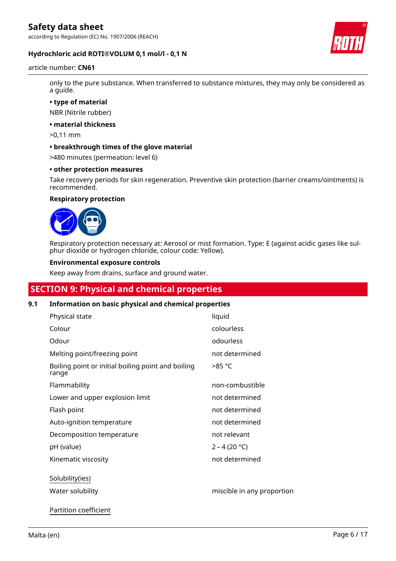according to Regulation (EC) No. 1907/2006 (REACH)



## **Hydrochloric acid ROTI®VOLUM 0,1 mol/l - 0,1 N**

#### article number: **CN61**

only to the pure substance. When transferred to substance mixtures, they may only be considered as a guide.

**• type of material**

NBR (Nitrile rubber)

**• material thickness**

>0,11 mm

**• breakthrough times of the glove material**

>480 minutes (permeation: level 6)

#### **• other protection measures**

Take recovery periods for skin regeneration. Preventive skin protection (barrier creams/ointments) is recommended.

#### **Respiratory protection**



Respiratory protection necessary at: Aerosol or mist formation. Type: E (against acidic gases like sulphur dioxide or hydrogen chloride, colour code: Yellow).

#### **Environmental exposure controls**

Keep away from drains, surface and ground water.

## **SECTION 9: Physical and chemical properties**

## **9.1 Information on basic physical and chemical properties**

| Physical state                                              | liquid                     |
|-------------------------------------------------------------|----------------------------|
| Colour                                                      | colourless                 |
| Odour                                                       | odourless                  |
| Melting point/freezing point                                | not determined             |
| Boiling point or initial boiling point and boiling<br>range | >85 °C                     |
| Flammability                                                | non-combustible            |
| Lower and upper explosion limit                             | not determined             |
| Flash point                                                 | not determined             |
| Auto-ignition temperature                                   | not determined             |
| Decomposition temperature                                   | not relevant               |
| pH (value)                                                  | $2 - 4 (20 °C)$            |
| Kinematic viscosity                                         | not determined             |
| Solubility(ies)                                             |                            |
| Water solubility                                            | miscible in any proportion |
|                                                             |                            |

Partition coefficient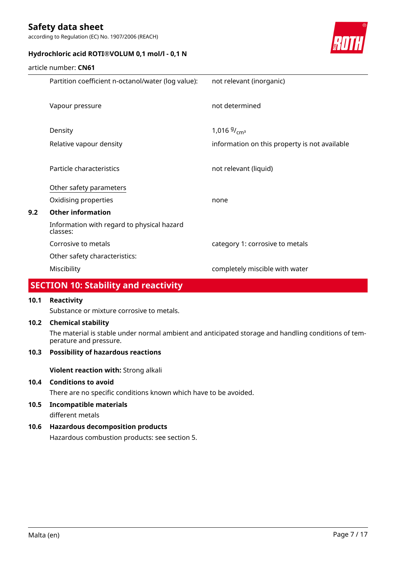according to Regulation (EC) No. 1907/2006 (REACH)



## **Hydrochloric acid ROTI®VOLUM 0,1 mol/l - 0,1 N**

### article number: **CN61**

|     | Partition coefficient n-octanol/water (log value):     | not relevant (inorganic)                      |
|-----|--------------------------------------------------------|-----------------------------------------------|
|     | Vapour pressure                                        | not determined                                |
|     | Density                                                | 1,016 $9/_{cm^3}$                             |
|     | Relative vapour density                                | information on this property is not available |
|     | Particle characteristics                               | not relevant (liquid)                         |
|     | Other safety parameters                                |                                               |
|     | Oxidising properties                                   | none                                          |
| 9.2 | <b>Other information</b>                               |                                               |
|     | Information with regard to physical hazard<br>classes: |                                               |
|     | Corrosive to metals                                    | category 1: corrosive to metals               |
|     | Other safety characteristics:                          |                                               |
|     | Miscibility                                            | completely miscible with water                |
|     |                                                        |                                               |

## **SECTION 10: Stability and reactivity**

## **10.1 Reactivity**

Substance or mixture corrosive to metals.

## **10.2 Chemical stability**

The material is stable under normal ambient and anticipated storage and handling conditions of temperature and pressure.

## **10.3 Possibility of hazardous reactions**

**Violent reaction with:** Strong alkali

## **10.4 Conditions to avoid**

There are no specific conditions known which have to be avoided.

**10.5 Incompatible materials**

different metals

## **10.6 Hazardous decomposition products**

Hazardous combustion products: see section 5.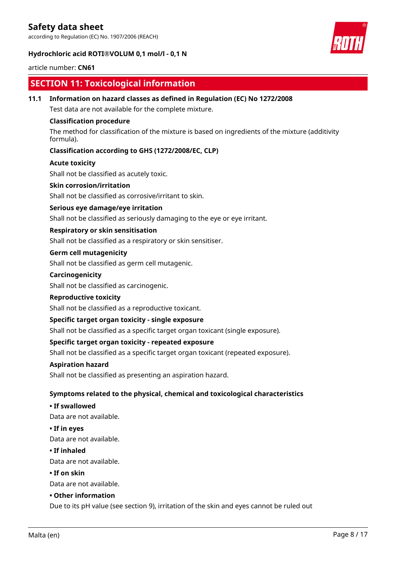according to Regulation (EC) No. 1907/2006 (REACH)





## article number: **CN61**

## **SECTION 11: Toxicological information**

**11.1 Information on hazard classes as defined in Regulation (EC) No 1272/2008**

Test data are not available for the complete mixture.

## **Classification procedure**

The method for classification of the mixture is based on ingredients of the mixture (additivity formula).

## **Classification according to GHS (1272/2008/EC, CLP)**

#### **Acute toxicity**

Shall not be classified as acutely toxic.

### **Skin corrosion/irritation**

Shall not be classified as corrosive/irritant to skin.

## **Serious eye damage/eye irritation**

Shall not be classified as seriously damaging to the eye or eye irritant.

## **Respiratory or skin sensitisation**

Shall not be classified as a respiratory or skin sensitiser.

## **Germ cell mutagenicity**

Shall not be classified as germ cell mutagenic.

### **Carcinogenicity**

Shall not be classified as carcinogenic.

#### **Reproductive toxicity**

Shall not be classified as a reproductive toxicant.

## **Specific target organ toxicity - single exposure**

Shall not be classified as a specific target organ toxicant (single exposure).

## **Specific target organ toxicity - repeated exposure**

Shall not be classified as a specific target organ toxicant (repeated exposure).

#### **Aspiration hazard**

Shall not be classified as presenting an aspiration hazard.

## **Symptoms related to the physical, chemical and toxicological characteristics**

## **• If swallowed**

Data are not available.

#### **• If in eyes**

Data are not available.

#### **• If inhaled**

Data are not available.

#### **• If on skin**

Data are not available.

#### **• Other information**

Due to its pH value (see section 9), irritation of the skin and eyes cannot be ruled out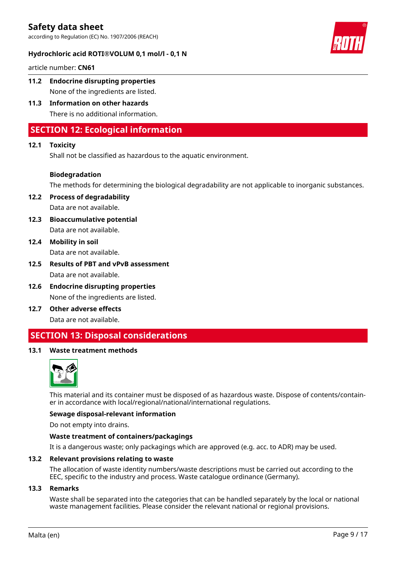according to Regulation (EC) No. 1907/2006 (REACH)

## **Hydrochloric acid ROTI®VOLUM 0,1 mol/l - 0,1 N**



article number: **CN61**

- **11.2 Endocrine disrupting properties** None of the ingredients are listed.
- **11.3 Information on other hazards** There is no additional information.

## **SECTION 12: Ecological information**

## **12.1 Toxicity**

Shall not be classified as hazardous to the aquatic environment.

## **Biodegradation**

The methods for determining the biological degradability are not applicable to inorganic substances.

**12.2 Process of degradability** Data are not available.

- **12.3 Bioaccumulative potential** Data are not available.
- **12.4 Mobility in soil** Data are not available.
- **12.5 Results of PBT and vPvB assessment** Data are not available.
- **12.6 Endocrine disrupting properties** None of the ingredients are listed.
- **12.7 Other adverse effects** Data are not available.

## **SECTION 13: Disposal considerations**

## **13.1 Waste treatment methods**



This material and its container must be disposed of as hazardous waste. Dispose of contents/container in accordance with local/regional/national/international regulations.

## **Sewage disposal-relevant information**

Do not empty into drains.

## **Waste treatment of containers/packagings**

It is a dangerous waste; only packagings which are approved (e.g. acc. to ADR) may be used.

#### **13.2 Relevant provisions relating to waste**

The allocation of waste identity numbers/waste descriptions must be carried out according to the EEC, specific to the industry and process. Waste catalogue ordinance (Germany).

#### **13.3 Remarks**

Waste shall be separated into the categories that can be handled separately by the local or national waste management facilities. Please consider the relevant national or regional provisions.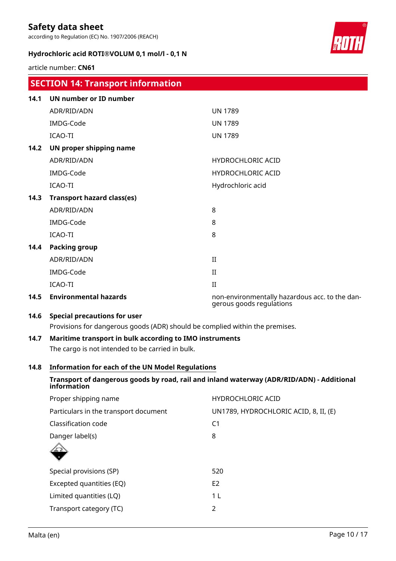according to Regulation (EC) No. 1907/2006 (REACH)

## **Hydrochloric acid ROTI®VOLUM 0,1 mol/l - 0,1 N**



article number: **CN61**

|      | <b>SECTION 14: Transport information</b>                                     |                                                                            |
|------|------------------------------------------------------------------------------|----------------------------------------------------------------------------|
| 14.1 | <b>UN number or ID number</b>                                                |                                                                            |
|      | ADR/RID/ADN                                                                  | <b>UN 1789</b>                                                             |
|      | IMDG-Code                                                                    | <b>UN 1789</b>                                                             |
|      | <b>ICAO-TI</b>                                                               | <b>UN 1789</b>                                                             |
| 14.2 | UN proper shipping name                                                      |                                                                            |
|      | ADR/RID/ADN                                                                  | <b>HYDROCHLORIC ACID</b>                                                   |
|      | IMDG-Code                                                                    | <b>HYDROCHLORIC ACID</b>                                                   |
|      | <b>ICAO-TI</b>                                                               | Hydrochloric acid                                                          |
| 14.3 | <b>Transport hazard class(es)</b>                                            |                                                                            |
|      | ADR/RID/ADN                                                                  | 8                                                                          |
|      | IMDG-Code                                                                    | 8                                                                          |
|      | <b>ICAO-TI</b>                                                               | 8                                                                          |
| 14.4 | <b>Packing group</b>                                                         |                                                                            |
|      | ADR/RID/ADN                                                                  | II                                                                         |
|      | IMDG-Code                                                                    | $\rm II$                                                                   |
|      | <b>ICAO-TI</b>                                                               | $\rm II$                                                                   |
| 14.5 | <b>Environmental hazards</b>                                                 | non-environmentally hazardous acc. to the dan-<br>gerous goods regulations |
| 14.6 | <b>Special precautions for user</b>                                          |                                                                            |
|      | Provisions for dangerous goods (ADR) should be complied within the premises. |                                                                            |

# **14.7 Maritime transport in bulk according to IMO instruments**

The cargo is not intended to be carried in bulk.

## **14.8 Information for each of the UN Model Regulations**

## **Transport of dangerous goods by road, rail and inland waterway (ADR/RID/ADN) - Additional information**

| Proper shipping name                  | <b>HYDROCHLORIC ACID</b>              |
|---------------------------------------|---------------------------------------|
| Particulars in the transport document | UN1789, HYDROCHLORIC ACID, 8, II, (E) |
| Classification code                   | C <sub>1</sub>                        |
| Danger label(s)                       | 8                                     |
|                                       |                                       |
| Special provisions (SP)               | 520                                   |
| Excepted quantities (EQ)              | E <sub>2</sub>                        |
| Limited quantities (LQ)               | 1 L                                   |
| Transport category (TC)               | 2                                     |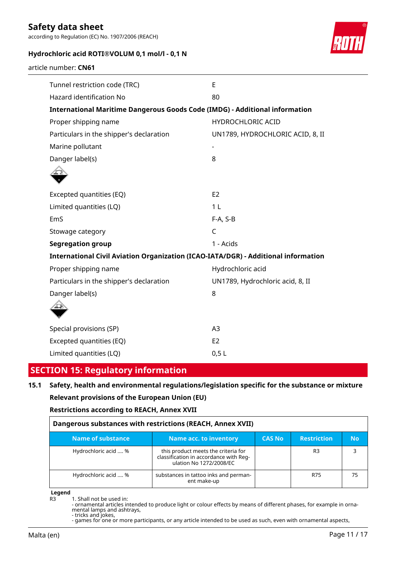according to Regulation (EC) No. 1907/2006 (REACH)



## **Hydrochloric acid ROTI®VOLUM 0,1 mol/l - 0,1 N**

article number: **CN61**

| E                                                                                  |  |  |  |  |  |  |
|------------------------------------------------------------------------------------|--|--|--|--|--|--|
| 80                                                                                 |  |  |  |  |  |  |
| <b>International Maritime Dangerous Goods Code (IMDG) - Additional information</b> |  |  |  |  |  |  |
| <b>HYDROCHLORIC ACID</b>                                                           |  |  |  |  |  |  |
| UN1789, HYDROCHLORIC ACID, 8, II                                                   |  |  |  |  |  |  |
| $\overline{\phantom{a}}$                                                           |  |  |  |  |  |  |
| 8                                                                                  |  |  |  |  |  |  |
|                                                                                    |  |  |  |  |  |  |
| E2                                                                                 |  |  |  |  |  |  |
| 1 <sub>L</sub>                                                                     |  |  |  |  |  |  |
| $F-A, S-B$                                                                         |  |  |  |  |  |  |
| $\mathsf C$                                                                        |  |  |  |  |  |  |
| 1 - Acids                                                                          |  |  |  |  |  |  |
| International Civil Aviation Organization (ICAO-IATA/DGR) - Additional information |  |  |  |  |  |  |
| Hydrochloric acid                                                                  |  |  |  |  |  |  |
| UN1789, Hydrochloric acid, 8, II                                                   |  |  |  |  |  |  |
| 8                                                                                  |  |  |  |  |  |  |
|                                                                                    |  |  |  |  |  |  |
| A3                                                                                 |  |  |  |  |  |  |
| E <sub>2</sub>                                                                     |  |  |  |  |  |  |
| 0,5L                                                                               |  |  |  |  |  |  |
|                                                                                    |  |  |  |  |  |  |

## **SECTION 15: Regulatory information**

## **15.1 Safety, health and environmental regulations/legislation specific for the substance or mixture Relevant provisions of the European Union (EU)**

## **Restrictions according to REACH, Annex XVII**

| Dangerous substances with restrictions (REACH, Annex XVII) |                                                                                                          |               |                    |           |  |  |  |
|------------------------------------------------------------|----------------------------------------------------------------------------------------------------------|---------------|--------------------|-----------|--|--|--|
| <b>Name of substance</b>                                   | Name acc. to inventory                                                                                   | <b>CAS No</b> | <b>Restriction</b> | <b>No</b> |  |  |  |
| Hydrochloric acid  %                                       | this product meets the criteria for<br>classification in accordance with Reg-<br>ulation No 1272/2008/EC |               | R <sub>3</sub>     |           |  |  |  |
| Hydrochloric acid  %                                       | substances in tattoo inks and perman-<br>ent make-up                                                     |               | R75                | 75        |  |  |  |

**Legend**

<sup>1.</sup> Shall not be used in:

<sup>-</sup> ornamental articles intended to produce light or colour effects by means of different phases, for example in ornamental lamps and ashtrays, - tricks and jokes,

<sup>-</sup> games for one or more participants, or any article intended to be used as such, even with ornamental aspects,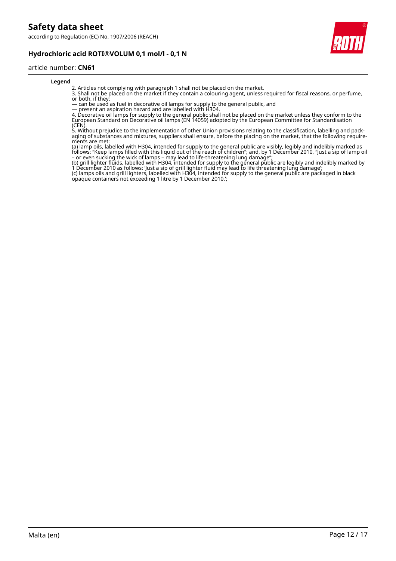according to Regulation (EC) No. 1907/2006 (REACH)

## **Hydrochloric acid ROTI®VOLUM 0,1 mol/l - 0,1 N**



#### article number: **CN61**

#### **Legend**

2. Articles not complying with paragraph 1 shall not be placed on the market.

3. Shall not be placed on the market if they contain a colouring agent, unless required for fiscal reasons, or perfume, or both, if they:

— can be used as fuel in decorative oil lamps for supply to the general public, and

— present an aspiration hazard and are labelled with H304.

4. Decorative oil lamps for supply to the general public shall not be placed on the market unless they conform to the European Standard on Decorative oil lamps (EN 14059) adopted by the European Committee for Standardisation (CEN).

5. Without prejudice to the implementation of other Union provisions relating to the classification, labelling and packaging of substances and mixtures, suppliers shall ensure, before the placing on the market, that the following requirements are met:

(a) lamp oils, labelled with H304, intended for supply to the general public are visibly, legibly and indelibly marked as follows: "Keep lamps filled with this liquid out of the reach of children"; and, by 1 December 2010, "Just a sip of lamp oil – or even sucking the wick of lamps – may lead to life-threatening lung damage";

(b) grill lighter fluids, labelled with H304, intended for supply to the general public are legibly and indelibly marked by 1 December 2010 as follows: 'Just a sip of grill lighter fluid may lead to life threatening lung damage'; (c) lamps oils and grill lighters, labelled with H304, intended for supply to the general public are packaged in black opaque containers not exceeding 1 litre by 1 December 2010.';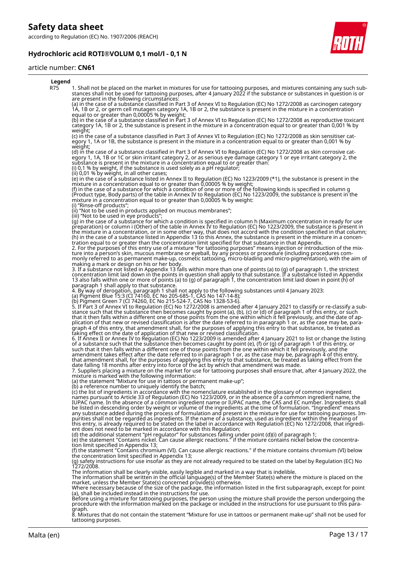according to Regulation (EC) No. 1907/2006 (REACH)

## **Hydrochloric acid ROTI®VOLUM 0,1 mol/l - 0,1 N**



## article number: **CN61**

| Legend     |                                                                                                                                                                                                                                                                                                                                                                                                                                                                                                                                                                                                                                                                                                                                                                                                                                                                                                                                                                                                                                |
|------------|--------------------------------------------------------------------------------------------------------------------------------------------------------------------------------------------------------------------------------------------------------------------------------------------------------------------------------------------------------------------------------------------------------------------------------------------------------------------------------------------------------------------------------------------------------------------------------------------------------------------------------------------------------------------------------------------------------------------------------------------------------------------------------------------------------------------------------------------------------------------------------------------------------------------------------------------------------------------------------------------------------------------------------|
| <b>R75</b> | 1. Shall not be placed on the market in mixtures for use for tattooing purposes, and mixtures containing any such sub-<br>stances shall not be used for tattooing purposes, after 4 January 2022 if the substance or substances in question is or<br>are present in the following circumstances:                                                                                                                                                                                                                                                                                                                                                                                                                                                                                                                                                                                                                                                                                                                               |
|            | (a) in the case of a substance classified in Part 3 of Annex VI to Regulation (EC) No 1272/2008 as carcinogen category<br>1A, 1B or 2, or germ cell mutagen category 1A, 1B or 2, the substance is present in the mixture in a concentration<br>equal to or greater than 0,00005 % by weight;                                                                                                                                                                                                                                                                                                                                                                                                                                                                                                                                                                                                                                                                                                                                  |
|            | (b) in the case of a substance classified in Part 3 of Annex VI to Regulation (EC) No 1272/2008 as reproductive toxicant<br>category 1A, 1B or 2, the substance is present in the mixture in a concentration equal to or greater than 0,001 % by<br>weight;                                                                                                                                                                                                                                                                                                                                                                                                                                                                                                                                                                                                                                                                                                                                                                    |
|            | (c) in the case of a substance classified in Part 3 of Annex VI to Regulation (EC) No 1272/2008 as skin sensitiser cat-<br>egory 1, 1A or 1B, the substance is present in the mixture in a concentration equal to or greater than 0,001 % by<br>weight;                                                                                                                                                                                                                                                                                                                                                                                                                                                                                                                                                                                                                                                                                                                                                                        |
|            | (d) in the case of a substance classified in Part 3 of Annex VI to Regulation (EC) No 1272/2008 as skin corrosive cat-<br>egory 1, 1A, 1B or 1C or skin irritant category 2, or as serious eye damage category 1 or eye irritant category 2, the<br>substance is present in the mixture in a concentration equal to or greater than.<br>(i) $0,1$ % by weight, if the substance is used solely as a pH regulator;                                                                                                                                                                                                                                                                                                                                                                                                                                                                                                                                                                                                              |
|            | (ii) 0,01 % by weight, in all other cases;<br>(e) in the case of a substance listed in Annex II to Regulation (EC) No 1223/2009 (*1), the substance is present in the                                                                                                                                                                                                                                                                                                                                                                                                                                                                                                                                                                                                                                                                                                                                                                                                                                                          |
|            | mixture in a concentration equal to or greater than 0,00005 % by weight;<br>(f) in the case of a substance for which a condition of one or more of the following kinds is specified in column g<br>(Product type, Body parts) of the table in Annex IV to Regulation (EC) No 1223/2009, the substance is present in the<br>mixture in a concentration equal to or greater than 0,00005 % by weight:                                                                                                                                                                                                                                                                                                                                                                                                                                                                                                                                                                                                                            |
|            | (i) "Rinse-off products";<br>(ii) "Not to be used in products applied on mucous membranes";                                                                                                                                                                                                                                                                                                                                                                                                                                                                                                                                                                                                                                                                                                                                                                                                                                                                                                                                    |
|            | (iii) "Not to be used in eye products";<br>(g) in the case of a substance for which a condition is specified in column h (Maximum concentration in ready for use<br>preparation) or column i (Other) of the table in Annex IV to Regulation (EC) No 1223/2009, the substance is present in<br>the mixture in a concentration, or in some other way, that does not accord with the condition specified in that column;<br>(h) in the case of a substance listed in Appendix 13 to this Annex, the substance is present in the mixture in a concen-<br>tration equal to or greater than the concentration limit specified for that substance in that Appendix.<br>2. For the purposes of this entry use of a mixture "for tattooing purposes" means injection or introduction of the mix-<br>ture into a person's skin, mucous membrane or eyeball, by any process or procedure (including procedures com-<br>monly referred to as permanent make-up, cosmetic tattooing, micro-blading and micro-pigmentation), with the aim of |
|            | making a mark or design on his or her body.<br>3. If a substance not listed in Appendix 13 falls within more than one of points (a) to (g) of paragraph 1, the strictest<br>concentration limit laid down in the points in question shall apply to that substance. If a substance listed in Appendix<br>13 also falls within one or more of points (a) to (g) of paragraph 1, the concentration limit laid down in point (h) of                                                                                                                                                                                                                                                                                                                                                                                                                                                                                                                                                                                                |
|            | paragraph 1 shall apply to that substance.<br>4. By way of derogation, paragraph 1 shall not apply to the following substances until 4 January 2023:<br>(a) Pigment Blue 15:3 (CI 74160, EC No 205-685-1, CAS No 147-14-8);                                                                                                                                                                                                                                                                                                                                                                                                                                                                                                                                                                                                                                                                                                                                                                                                    |
|            | (b) Pigment Green 7 (CI 74260, EC No 215-524-7, CAS No 1328-53-6).                                                                                                                                                                                                                                                                                                                                                                                                                                                                                                                                                                                                                                                                                                                                                                                                                                                                                                                                                             |
|            | 5. If Part 3 of Annex VI to Regulation (EC) No 1272/2008 is amended after 4 January 2021 to classify or re-classify a sub-<br>stance such that the substance then becomes caught by point (a), (b), (c) or (d) of paragraph 1 of this entry, or such<br>that it then falls within a different one of those points from the one within which it fell previously, and the date of ap-<br>plication of that new or revised classification is after the date referred to in paragraph 1 or, as the case may be, para-<br>graph 4 of this entry, that amendment shall, for the purposes of applying this entry to that substance, be treated as                                                                                                                                                                                                                                                                                                                                                                                     |
|            | taking effect on the date of application of that new or revised classification.<br>6. If Annex II or Annex IV to Regulation (EC) No 1223/2009 is amended after 4 January 2021 to list or change the listing<br>of a substance such that the substance then becomes caught by point (e), (f) or (g) of paragraph 1 of this entry, or<br>such that it then falls within a different one of those points from the one within which it fell previously, and the<br>amendment takes effect after the date referred to in paragraph 1 or, as the case may be, paragraph 4 of this entry,<br>that amendment shall, for the purposes of applying this entry to that substance, be treated as taking effect from the<br>date falling 18 months after entry into force of the act by which that amendment was made.                                                                                                                                                                                                                      |
|            | 7. Suppliers placing a mixture on the market for use for tattooing purposes shall ensure that, after 4 January 2022, the<br>mixture is marked with the following information:<br>(a) the statement "Mixture for use in tattoos or permanent make-up";                                                                                                                                                                                                                                                                                                                                                                                                                                                                                                                                                                                                                                                                                                                                                                          |
|            | (b) a reference number to uniquely identify the batch;<br>(c) the list of ingredients in accordance with the nomenclature established in the glossary of common ingredient<br>names pursuant to Article 33 of Regulation (EC) No 1223/2009, or in the absence of a common ingredient name, the<br>IUPAC name. In the absence of a common ingredient name or IUPAC name, the CAS and EC number. Ingredients shall<br>be listed in descending order by weight or volume of the ingredients at the time of formulation. "Ingredient" means                                                                                                                                                                                                                                                                                                                                                                                                                                                                                        |
|            | any substance added during the process of formulation and present in the mixture for use for tattooing purposes. Im-<br>purities shall not be regarded as ingredients. If the name of a substance, used as ingredient within the meaning of<br>this entry, is already required to be stated on the label in accordance with Regulation (EC) No 1272/2008, that ingredi-<br>ent does not need to be marked in accordance with this Regulation;                                                                                                                                                                                                                                                                                                                                                                                                                                                                                                                                                                                  |
|            | (d) the additional statement "pH regulator" for substances falling under point (d)(i) of paragraph 1;<br>(e) the statement "Contains nickel. Can cause allergic reactions." If the mixture contains nickel below the concentra-<br>tion limit specified in Appendix 13;                                                                                                                                                                                                                                                                                                                                                                                                                                                                                                                                                                                                                                                                                                                                                        |
|            | (f) the statement "Contains chromium (VI). Can cause allergic reactions." if the mixture contains chromium (VI) below<br>the concentration limit specified in Appendix 13;<br>(g) safety instructions for use insofar as they are not already required to be stated on the label by Regulation (EC) No<br>1272/2008.                                                                                                                                                                                                                                                                                                                                                                                                                                                                                                                                                                                                                                                                                                           |
|            | The information shall be clearly visible, easily legible and marked in a way that is indelible.<br>The information shall be written in the official language(s) of the Member State(s) where the mixture is placed on the<br>market, unless the Member State(s) concerned provide(s) otherwise.                                                                                                                                                                                                                                                                                                                                                                                                                                                                                                                                                                                                                                                                                                                                |
|            | Where necessary because of the size of the package, the information listed in the first subparagraph, except for point<br>(a), shall be included instead in the instructions for use.<br>Before using a mixture for tattooing purposes, the person using the mixture shall provide the person undergoing the                                                                                                                                                                                                                                                                                                                                                                                                                                                                                                                                                                                                                                                                                                                   |
|            | procedure with the information marked on the package or included in the instructions for use pursuant to this para-<br>graph.<br>8. Mixtures that do not contain the statement "Mixture for use in tattoos or permanent make-up" shall not be used for                                                                                                                                                                                                                                                                                                                                                                                                                                                                                                                                                                                                                                                                                                                                                                         |

8. Mixtures that do not contain the statement "Mixture for use in tattoos or permanent make-up" shall not be used for tattooing purposes.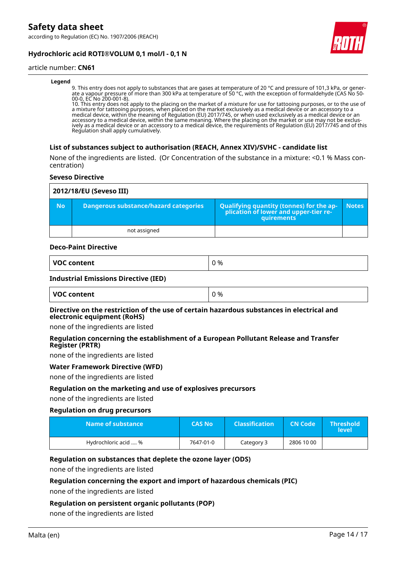according to Regulation (EC) No. 1907/2006 (REACH)





#### article number: **CN61**

#### **Legend**

9. This entry does not apply to substances that are gases at temperature of 20 °C and pressure of 101,3 kPa, or generate a vapour pressure of more than 300 kPa at temperature of 50 °C, with the exception of formaldehyde (CAS No 50- 00-0, EC No 200-001-8).

10. This entry does not apply to the placing on the market of a mixture for use for tattooing purposes, or to the use of a mixture for tattooing purposes, when placed on the market exclusively as a medical device or an accessory to a medical device, within the meaning of Regulation (EU) 2017/745, or when used exclusively as a medical device or an accessory to a medical device, within the same meaning. Where the placing on the market or use may not be exclusively as a medical device or an accessory to a medical device, the requirements of Regulation (EU) 2017/745 and of this Regulation shall apply cumulatively.

#### **List of substances subject to authorisation (REACH, Annex XIV)/SVHC - candidate list**

None of the ingredients are listed. (Or Concentration of the substance in a mixture: <0.1 % Mass concentration)

#### **Seveso Directive**

| 2012/18/EU (Seveso III) |                                       |                                                                                                        |              |
|-------------------------|---------------------------------------|--------------------------------------------------------------------------------------------------------|--------------|
| <b>No</b>               | Dangerous substance/hazard categories | Qualifying quantity (tonnes) for the ap-<br>plication of lower and upper-tier re-<br><b>quirements</b> | <b>Notes</b> |
|                         | not assigned                          |                                                                                                        |              |

#### **Deco-Paint Directive**

| <b>VOC</b> | % |
|------------|---|
| content    | - |
| , <b>.</b> | ັ |

#### **Industrial Emissions Directive (IED)**

| VOC content | ገ % |
|-------------|-----|
|-------------|-----|

#### **Directive on the restriction of the use of certain hazardous substances in electrical and electronic equipment (RoHS)**

none of the ingredients are listed

#### **Regulation concerning the establishment of a European Pollutant Release and Transfer Register (PRTR)**

none of the ingredients are listed

#### **Water Framework Directive (WFD)**

none of the ingredients are listed

#### **Regulation on the marketing and use of explosives precursors**

none of the ingredients are listed

#### **Regulation on drug precursors**

| Name of substance    | <b>CAS No</b> | <b>Classification</b> | <b>CN Code</b> | <b>Threshold</b><br><b>level</b> |
|----------------------|---------------|-----------------------|----------------|----------------------------------|
| Hydrochloric acid  % | 7647-01-0     | Category 3            | 2806 10 00     |                                  |

#### **Regulation on substances that deplete the ozone layer (ODS)**

none of the ingredients are listed

#### **Regulation concerning the export and import of hazardous chemicals (PIC)**

none of the ingredients are listed

## **Regulation on persistent organic pollutants (POP)**

none of the ingredients are listed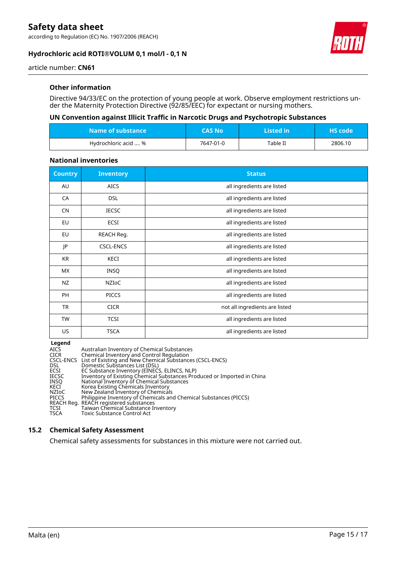according to Regulation (EC) No. 1907/2006 (REACH)

## **Hydrochloric acid ROTI®VOLUM 0,1 mol/l - 0,1 N**



article number: **CN61**

## **Other information**

Directive 94/33/EC on the protection of young people at work. Observe employment restrictions under the Maternity Protection Directive (92/85/EEC) for expectant or nursing mothers.

## **UN Convention against Illicit Traffic in Narcotic Drugs and Psychotropic Substances**

| $\blacksquare$ Name of substance $\blacksquare$ | <b>CAS No</b> | Listed in | <b>HS</b> code |
|-------------------------------------------------|---------------|-----------|----------------|
| Hydrochloric acid  %                            | 7647-01-0     | Table II  | 2806.10        |

### **National inventories**

| <b>Country</b> | <b>Inventory</b> | <b>Status</b>                  |
|----------------|------------------|--------------------------------|
| AU             | <b>AICS</b>      | all ingredients are listed     |
| CA             | <b>DSL</b>       | all ingredients are listed     |
| <b>CN</b>      | <b>IECSC</b>     | all ingredients are listed     |
| EU             | ECSI             | all ingredients are listed     |
| <b>EU</b>      | REACH Reg.       | all ingredients are listed     |
| JP             | <b>CSCL-ENCS</b> | all ingredients are listed     |
| KR             | KECI             | all ingredients are listed     |
| <b>MX</b>      | <b>INSQ</b>      | all ingredients are listed     |
| <b>NZ</b>      | <b>NZIOC</b>     | all ingredients are listed     |
| <b>PH</b>      | <b>PICCS</b>     | all ingredients are listed     |
| TR             | <b>CICR</b>      | not all ingredients are listed |
| <b>TW</b>      | <b>TCSI</b>      | all ingredients are listed     |
| US             | <b>TSCA</b>      | all ingredients are listed     |

**Legend**

| <b>AICS</b>  | Australian Inventory of Chemical Substances                             |
|--------------|-------------------------------------------------------------------------|
| <b>CICR</b>  | Chemical Inventory and Control Regulation                               |
|              | CSCL-ENCS List of Existing and New Chemical Substances (CSCL-ENCS)      |
| <b>DSL</b>   | Domestic Substances List (DSL)                                          |
| ECSI         | EC Substance Inventory (EINECS, ELINCS, NLP)                            |
| <b>IECSC</b> | Inventory of Existing Chemical Substances Produced or Imported in China |
| <b>INSO</b>  | National Inventory of Chemical Substances                               |
| KECI         | Korea Existing Chemicals Inventory                                      |
| NZIoC        | New Zealand Inventory of Chemicals                                      |
| <b>PICCS</b> | Philippine Inventory of Chemicals and Chemical Substances (PICCS)       |
|              | REACH Reg. REACH registered substances                                  |
| TCSI         | Taiwan Chemical Substance Inventory                                     |
| <b>TSCA</b>  | Toxic Substance Control Act                                             |

## **15.2 Chemical Safety Assessment**

Chemical safety assessments for substances in this mixture were not carried out.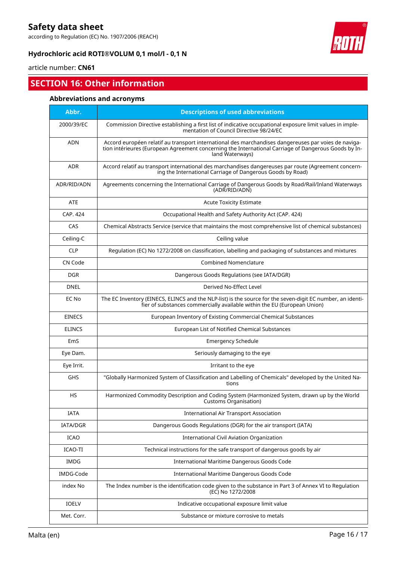according to Regulation (EC) No. 1907/2006 (REACH)

## **Hydrochloric acid ROTI®VOLUM 0,1 mol/l - 0,1 N**



# article number: **CN61**

# **SECTION 16: Other information**

## **Abbreviations and acronyms**

| Abbr.         | <b>Descriptions of used abbreviations</b>                                                                                                                                                                                       |
|---------------|---------------------------------------------------------------------------------------------------------------------------------------------------------------------------------------------------------------------------------|
| 2000/39/EC    | Commission Directive establishing a first list of indicative occupational exposure limit values in imple-<br>mentation of Council Directive 98/24/EC                                                                            |
| <b>ADN</b>    | Accord européen relatif au transport international des marchandises dangereuses par voies de naviga-<br>tion intérieures (European Agreement concerning the International Carriage of Dangerous Goods by In-<br>land Waterways) |
| <b>ADR</b>    | Accord relatif au transport international des marchandises dangereuses par route (Agreement concern-<br>ing the International Carriage of Dangerous Goods by Road)                                                              |
| ADR/RID/ADN   | Agreements concerning the International Carriage of Dangerous Goods by Road/Rail/Inland Waterways<br>(ADR/RID/ADN)                                                                                                              |
| <b>ATE</b>    | <b>Acute Toxicity Estimate</b>                                                                                                                                                                                                  |
| CAP. 424      | Occupational Health and Safety Authority Act (CAP. 424)                                                                                                                                                                         |
| CAS           | Chemical Abstracts Service (service that maintains the most comprehensive list of chemical substances)                                                                                                                          |
| Ceiling-C     | Ceiling value                                                                                                                                                                                                                   |
| <b>CLP</b>    | Regulation (EC) No 1272/2008 on classification, labelling and packaging of substances and mixtures                                                                                                                              |
| CN Code       | <b>Combined Nomenclature</b>                                                                                                                                                                                                    |
| <b>DGR</b>    | Dangerous Goods Regulations (see IATA/DGR)                                                                                                                                                                                      |
| <b>DNEL</b>   | Derived No-Effect Level                                                                                                                                                                                                         |
| EC No         | The EC Inventory (EINECS, ELINCS and the NLP-list) is the source for the seven-digit EC number, an identi-<br>fier of substances commercially available within the EU (European Union)                                          |
| <b>EINECS</b> | European Inventory of Existing Commercial Chemical Substances                                                                                                                                                                   |
| <b>ELINCS</b> | European List of Notified Chemical Substances                                                                                                                                                                                   |
| EmS           | Emergency Schedule                                                                                                                                                                                                              |
| Eye Dam.      | Seriously damaging to the eye                                                                                                                                                                                                   |
| Eye Irrit.    | Irritant to the eye                                                                                                                                                                                                             |
| <b>GHS</b>    | "Globally Harmonized System of Classification and Labelling of Chemicals" developed by the United Na-<br>tions                                                                                                                  |
| <b>HS</b>     | Harmonized Commodity Description and Coding System (Harmonized System, drawn up by the World<br>Customs Organisation)                                                                                                           |
| IATA          | <b>International Air Transport Association</b>                                                                                                                                                                                  |
| IATA/DGR      | Dangerous Goods Regulations (DGR) for the air transport (IATA)                                                                                                                                                                  |
| <b>ICAO</b>   | International Civil Aviation Organization                                                                                                                                                                                       |
| ICAO-TI       | Technical instructions for the safe transport of dangerous goods by air                                                                                                                                                         |
| <b>IMDG</b>   | International Maritime Dangerous Goods Code                                                                                                                                                                                     |
| IMDG-Code     | International Maritime Dangerous Goods Code                                                                                                                                                                                     |
| index No      | The Index number is the identification code given to the substance in Part 3 of Annex VI to Regulation<br>(EC) No 1272/2008                                                                                                     |
| IOELV         | Indicative occupational exposure limit value                                                                                                                                                                                    |
| Met. Corr.    | Substance or mixture corrosive to metals                                                                                                                                                                                        |